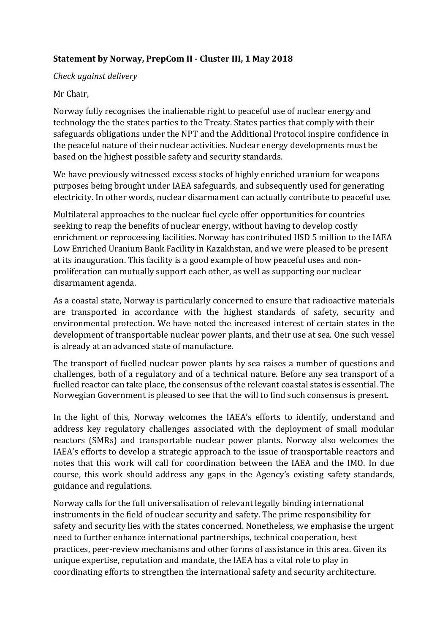## **Statement by Norway, PrepCom II - Cluster III, 1 May 2018**

## *Check against delivery*

## Mr Chair,

Norway fully recognises the inalienable right to peaceful use of nuclear energy and technology the the states parties to the Treaty. States parties that comply with their safeguards obligations under the NPT and the Additional Protocol inspire confidence in the peaceful nature of their nuclear activities. Nuclear energy developments must be based on the highest possible safety and security standards.

We have previously witnessed excess stocks of highly enriched uranium for weapons purposes being brought under IAEA safeguards, and subsequently used for generating electricity. In other words, nuclear disarmament can actually contribute to peaceful use.

Multilateral approaches to the nuclear fuel cycle offer opportunities for countries seeking to reap the benefits of nuclear energy, without having to develop costly enrichment or reprocessing facilities. Norway has contributed USD 5 million to the IAEA Low Enriched Uranium Bank Facility in Kazakhstan, and we were pleased to be present at its inauguration. This facility is a good example of how peaceful uses and nonproliferation can mutually support each other, as well as supporting our nuclear disarmament agenda.

As a coastal state, Norway is particularly concerned to ensure that radioactive materials are transported in accordance with the highest standards of safety, security and environmental protection. We have noted the increased interest of certain states in the development of transportable nuclear power plants, and their use at sea. One such vessel is already at an advanced state of manufacture.

The transport of fuelled nuclear power plants by sea raises a number of questions and challenges, both of a regulatory and of a technical nature. Before any sea transport of a fuelled reactor can take place, the consensus of the relevant coastal states is essential. The Norwegian Government is pleased to see that the will to find such consensus is present.

In the light of this, Norway welcomes the IAEA's efforts to identify, understand and address key regulatory challenges associated with the deployment of small modular reactors (SMRs) and transportable nuclear power plants. Norway also welcomes the IAEA's efforts to develop a strategic approach to the issue of transportable reactors and notes that this work will call for coordination between the IAEA and the IMO. In due course, this work should address any gaps in the Agency's existing safety standards, guidance and regulations.

Norway calls for the full universalisation of relevant legally binding international instruments in the field of nuclear security and safety. The prime responsibility for safety and security lies with the states concerned. Nonetheless, we emphasise the urgent need to further enhance international partnerships, technical cooperation, best practices, peer-review mechanisms and other forms of assistance in this area. Given its unique expertise, reputation and mandate, the IAEA has a vital role to play in coordinating efforts to strengthen the international safety and security architecture.